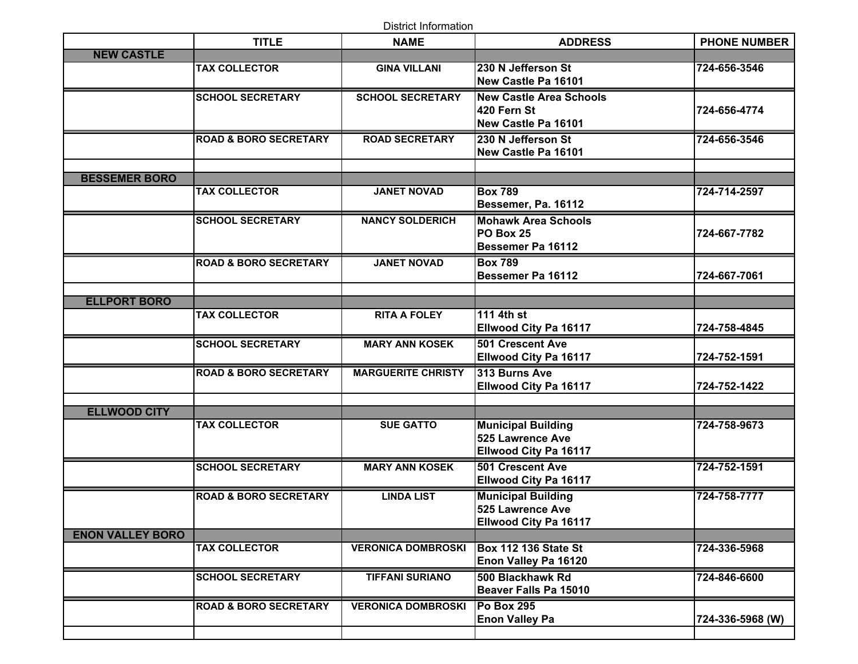District Information

|                         | <b>TITLE</b>                     | <b>NAME</b>               | <b>ADDRESS</b>                 | <b>PHONE NUMBER</b> |
|-------------------------|----------------------------------|---------------------------|--------------------------------|---------------------|
| <b>NEW CASTLE</b>       |                                  |                           |                                |                     |
|                         | <b>TAX COLLECTOR</b>             | <b>GINA VILLANI</b>       | 230 N Jefferson St             | 724-656-3546        |
|                         |                                  |                           | New Castle Pa 16101            |                     |
|                         | <b>SCHOOL SECRETARY</b>          | <b>SCHOOL SECRETARY</b>   | <b>New Castle Area Schools</b> |                     |
|                         |                                  |                           | l420 Fern St                   | 724-656-4774        |
|                         |                                  |                           | New Castle Pa 16101            |                     |
|                         | <b>ROAD &amp; BORO SECRETARY</b> | <b>ROAD SECRETARY</b>     | 230 N Jefferson St             | 724-656-3546        |
|                         |                                  |                           | New Castle Pa 16101            |                     |
|                         |                                  |                           |                                |                     |
| <b>BESSEMER BORO</b>    |                                  |                           |                                |                     |
|                         | <b>TAX COLLECTOR</b>             | <b>JANET NOVAD</b>        | <b>Box 789</b>                 | 724-714-2597        |
|                         |                                  |                           | Bessemer, Pa. 16112            |                     |
|                         | <b>SCHOOL SECRETARY</b>          | <b>NANCY SOLDERICH</b>    | <b>Mohawk Area Schools</b>     |                     |
|                         |                                  |                           | <b>PO Box 25</b>               | 724-667-7782        |
|                         |                                  |                           | Bessemer Pa 16112              |                     |
|                         | <b>ROAD &amp; BORO SECRETARY</b> | <b>JANET NOVAD</b>        | <b>Box 789</b>                 |                     |
|                         |                                  |                           | Bessemer Pa 16112              | 724-667-7061        |
|                         |                                  |                           |                                |                     |
| <b>ELLPORT BORO</b>     |                                  |                           |                                |                     |
|                         | <b>TAX COLLECTOR</b>             | <b>RITA A FOLEY</b>       | 111 4th st                     |                     |
|                         |                                  |                           | <b>Ellwood City Pa 16117</b>   | 724-758-4845        |
|                         | <b>SCHOOL SECRETARY</b>          | <b>MARY ANN KOSEK</b>     | <b>501 Crescent Ave</b>        |                     |
|                         |                                  |                           | Ellwood City Pa 16117          | 724-752-1591        |
|                         | <b>ROAD &amp; BORO SECRETARY</b> | <b>MARGUERITE CHRISTY</b> | 313 Burns Ave                  |                     |
|                         |                                  |                           | <b>Ellwood City Pa 16117</b>   | 724-752-1422        |
|                         |                                  |                           |                                |                     |
| <b>ELLWOOD CITY</b>     |                                  |                           |                                |                     |
|                         | <b>TAX COLLECTOR</b>             | <b>SUE GATTO</b>          | <b>Municipal Building</b>      | 724-758-9673        |
|                         |                                  |                           | 525 Lawrence Ave               |                     |
|                         |                                  |                           | <b>Ellwood City Pa 16117</b>   |                     |
|                         | <b>SCHOOL SECRETARY</b>          | <b>MARY ANN KOSEK</b>     | 501 Crescent Ave               | 724-752-1591        |
|                         |                                  |                           | <b>Ellwood City Pa 16117</b>   |                     |
|                         | <b>ROAD &amp; BORO SECRETARY</b> | <b>LINDA LIST</b>         | <b>Municipal Building</b>      | 724-758-7777        |
|                         |                                  |                           | 525 Lawrence Ave               |                     |
|                         |                                  |                           | Ellwood City Pa 16117          |                     |
| <b>ENON VALLEY BORO</b> |                                  |                           |                                |                     |
|                         | <b>TAX COLLECTOR</b>             | <b>VERONICA DOMBROSKI</b> | <b>Box 112 136 State St</b>    | 724-336-5968        |
|                         |                                  |                           | Enon Valley Pa 16120           |                     |
|                         | <b>SCHOOL SECRETARY</b>          | <b>TIFFANI SURIANO</b>    | 500 Blackhawk Rd               | 724-846-6600        |
|                         |                                  |                           | Beaver Falls Pa 15010          |                     |
|                         | <b>ROAD &amp; BORO SECRETARY</b> | <b>VERONICA DOMBROSKI</b> | Po Box 295                     |                     |
|                         |                                  |                           | <b>Enon Valley Pa</b>          | 724-336-5968 (W)    |
|                         |                                  |                           |                                |                     |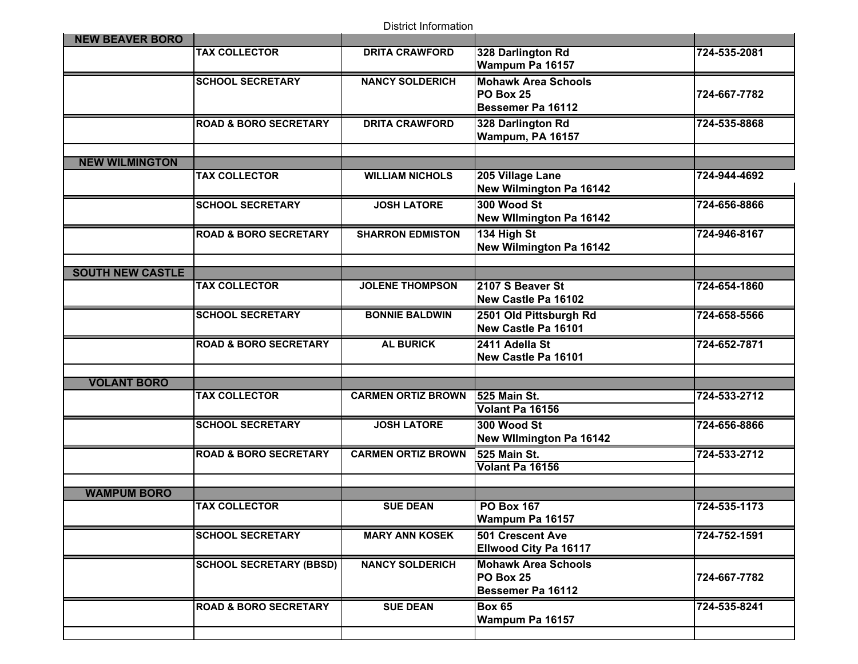District Information

| <b>NEW BEAVER BORO</b>  |                                  |                           |                                                              |              |
|-------------------------|----------------------------------|---------------------------|--------------------------------------------------------------|--------------|
|                         | <b>TAX COLLECTOR</b>             | <b>DRITA CRAWFORD</b>     | 328 Darlington Rd<br>Wampum Pa 16157                         | 724-535-2081 |
|                         | <b>SCHOOL SECRETARY</b>          | <b>NANCY SOLDERICH</b>    | <b>Mohawk Area Schools</b><br>PO Box 25<br>Bessemer Pa 16112 | 724-667-7782 |
|                         | <b>ROAD &amp; BORO SECRETARY</b> | <b>DRITA CRAWFORD</b>     | 328 Darlington Rd<br>Wampum, PA 16157                        | 724-535-8868 |
| <b>NEW WILMINGTON</b>   |                                  |                           |                                                              |              |
|                         | <b>TAX COLLECTOR</b>             | <b>WILLIAM NICHOLS</b>    | 205 Village Lane<br>New Wilmington Pa 16142                  | 724-944-4692 |
|                         | <b>SCHOOL SECRETARY</b>          | <b>JOSH LATORE</b>        | 300 Wood St<br><b>New Wilmington Pa 16142</b>                | 724-656-8866 |
|                         | <b>ROAD &amp; BORO SECRETARY</b> | <b>SHARRON EDMISTON</b>   | 134 High St<br>New Wilmington Pa 16142                       | 724-946-8167 |
| <b>SOUTH NEW CASTLE</b> |                                  |                           |                                                              |              |
|                         | <b>TAX COLLECTOR</b>             | <b>JOLENE THOMPSON</b>    | 2107 S Beaver St<br>New Castle Pa 16102                      | 724-654-1860 |
|                         | <b>SCHOOL SECRETARY</b>          | <b>BONNIE BALDWIN</b>     | 2501 Old Pittsburgh Rd<br>New Castle Pa 16101                | 724-658-5566 |
|                         | <b>ROAD &amp; BORO SECRETARY</b> | <b>AL BURICK</b>          | 2411 Adella St<br>New Castle Pa 16101                        | 724-652-7871 |
| <b>VOLANT BORO</b>      |                                  |                           |                                                              |              |
|                         | <b>TAX COLLECTOR</b>             | <b>CARMEN ORTIZ BROWN</b> | <b>525 Main St.</b><br>Volant Pa 16156                       | 724-533-2712 |
|                         | <b>SCHOOL SECRETARY</b>          | <b>JOSH LATORE</b>        | 300 Wood St<br>New Wilmington Pa 16142                       | 724-656-8866 |
|                         | <b>ROAD &amp; BORO SECRETARY</b> | <b>CARMEN ORTIZ BROWN</b> | 525 Main St.<br>Volant Pa 16156                              | 724-533-2712 |
| <b>WAMPUM BORO</b>      |                                  |                           |                                                              |              |
|                         | <b>TAX COLLECTOR</b>             | <b>SUE DEAN</b>           | <b>PO Box 167</b><br>Wampum Pa 16157                         | 724-535-1173 |
|                         | <b>SCHOOL SECRETARY</b>          | <b>MARY ANN KOSEK</b>     | <b>501 Crescent Ave</b><br><b>Ellwood City Pa 16117</b>      | 724-752-1591 |
|                         | <b>SCHOOL SECRETARY (BBSD)</b>   | <b>NANCY SOLDERICH</b>    | <b>Mohawk Area Schools</b><br>PO Box 25<br>Bessemer Pa 16112 | 724-667-7782 |
|                         | <b>ROAD &amp; BORO SECRETARY</b> | <b>SUE DEAN</b>           | <b>Box 65</b><br>Wampum Pa 16157                             | 724-535-8241 |
|                         |                                  |                           |                                                              |              |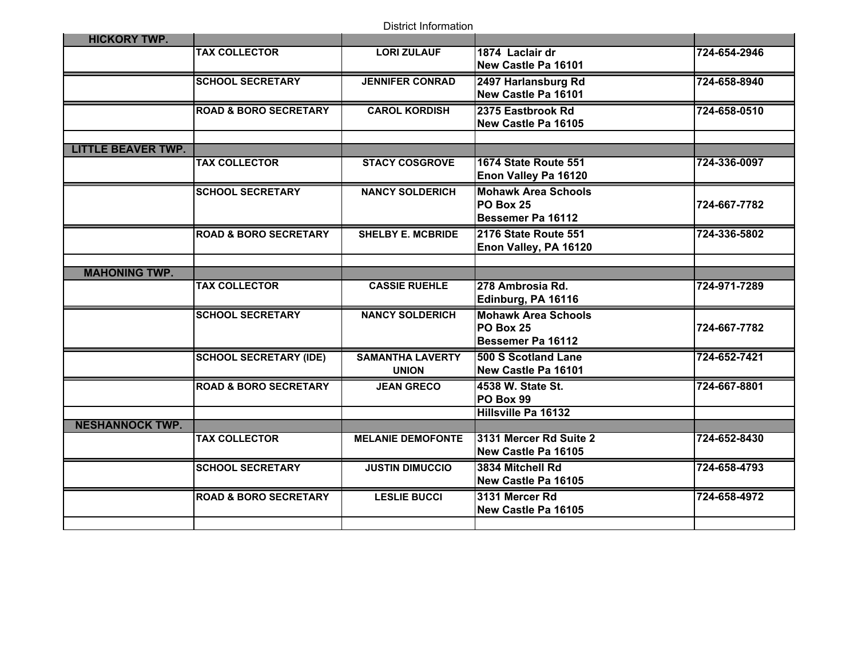District Information

| <b>HICKORY TWP.</b>       |                                  |                                         |                                                              |              |
|---------------------------|----------------------------------|-----------------------------------------|--------------------------------------------------------------|--------------|
|                           | <b>TAX COLLECTOR</b>             | <b>LORI ZULAUF</b>                      | 1874 Laclair dr<br>New Castle Pa 16101                       | 724-654-2946 |
|                           | <b>SCHOOL SECRETARY</b>          | <b>JENNIFER CONRAD</b>                  | 2497 Harlansburg Rd<br>New Castle Pa 16101                   | 724-658-8940 |
|                           | <b>ROAD &amp; BORO SECRETARY</b> | <b>CAROL KORDISH</b>                    | 2375 Eastbrook Rd<br>New Castle Pa 16105                     | 724-658-0510 |
| <b>LITTLE BEAVER TWP.</b> |                                  |                                         |                                                              |              |
|                           | <b>TAX COLLECTOR</b>             | <b>STACY COSGROVE</b>                   | 1674 State Route 551<br>Enon Valley Pa 16120                 | 724-336-0097 |
|                           | <b>SCHOOL SECRETARY</b>          | <b>NANCY SOLDERICH</b>                  | <b>Mohawk Area Schools</b><br>PO Box 25<br>Bessemer Pa 16112 | 724-667-7782 |
|                           | <b>ROAD &amp; BORO SECRETARY</b> | <b>SHELBY E. MCBRIDE</b>                | 2176 State Route 551<br>Enon Valley, PA 16120                | 724-336-5802 |
| <b>MAHONING TWP.</b>      |                                  |                                         |                                                              |              |
|                           | <b>TAX COLLECTOR</b>             | <b>CASSIE RUEHLE</b>                    | 278 Ambrosia Rd.<br>Edinburg, PA 16116                       | 724-971-7289 |
|                           | <b>SCHOOL SECRETARY</b>          | <b>NANCY SOLDERICH</b>                  | <b>Mohawk Area Schools</b><br>PO Box 25<br>Bessemer Pa 16112 | 724-667-7782 |
|                           | <b>SCHOOL SECRETARY (IDE)</b>    | <b>SAMANTHA LAVERTY</b><br><b>UNION</b> | 500 S Scotland Lane<br>New Castle Pa 16101                   | 724-652-7421 |
|                           | <b>ROAD &amp; BORO SECRETARY</b> | <b>JEAN GRECO</b>                       | 4538 W. State St.<br>PO Box 99                               | 724-667-8801 |
|                           |                                  |                                         | <b>Hillsville Pa 16132</b>                                   |              |
| <b>NESHANNOCK TWP.</b>    | <b>TAX COLLECTOR</b>             | <b>MELANIE DEMOFONTE</b>                | 3131 Mercer Rd Suite 2<br>New Castle Pa 16105                | 724-652-8430 |
|                           | <b>SCHOOL SECRETARY</b>          | <b>JUSTIN DIMUCCIO</b>                  | 3834 Mitchell Rd<br>New Castle Pa 16105                      | 724-658-4793 |
|                           | <b>ROAD &amp; BORO SECRETARY</b> | <b>LESLIE BUCCI</b>                     | 3131 Mercer Rd<br>New Castle Pa 16105                        | 724-658-4972 |
|                           |                                  |                                         |                                                              |              |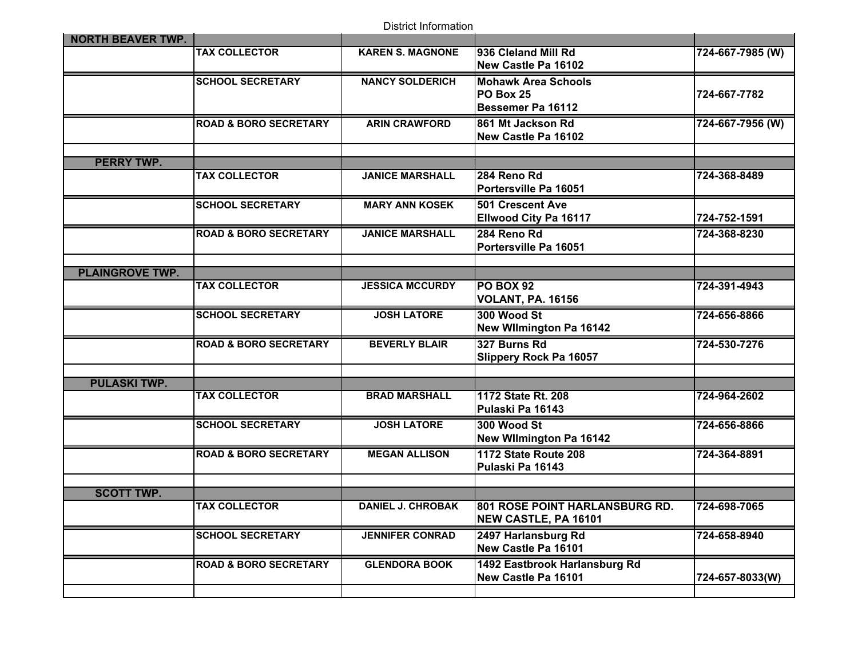District Information

| <b>NORTH BEAVER TWP.</b> |                                  |                          |                                                                     |                  |
|--------------------------|----------------------------------|--------------------------|---------------------------------------------------------------------|------------------|
|                          | <b>TAX COLLECTOR</b>             | <b>KAREN S. MAGNONE</b>  | 936 Cleland Mill Rd<br>New Castle Pa 16102                          | 724-667-7985 (W) |
|                          | <b>SCHOOL SECRETARY</b>          | <b>NANCY SOLDERICH</b>   | <b>Mohawk Area Schools</b><br><b>PO Box 25</b><br>Bessemer Pa 16112 | 724-667-7782     |
|                          | <b>ROAD &amp; BORO SECRETARY</b> | <b>ARIN CRAWFORD</b>     | 861 Mt Jackson Rd<br>New Castle Pa 16102                            | 724-667-7956 (W) |
| <b>PERRY TWP.</b>        |                                  |                          |                                                                     |                  |
|                          | <b>TAX COLLECTOR</b>             | <b>JANICE MARSHALL</b>   | 284 Reno Rd<br>Portersville Pa 16051                                | 724-368-8489     |
|                          | <b>SCHOOL SECRETARY</b>          | <b>MARY ANN KOSEK</b>    | <b>501 Crescent Ave</b><br><b>Ellwood City Pa 16117</b>             | 724-752-1591     |
|                          | <b>ROAD &amp; BORO SECRETARY</b> | <b>JANICE MARSHALL</b>   | 284 Reno Rd<br>Portersville Pa 16051                                | 724-368-8230     |
| <b>PLAINGROVE TWP.</b>   |                                  |                          |                                                                     |                  |
|                          | <b>TAX COLLECTOR</b>             | <b>JESSICA MCCURDY</b>   | <b>PO BOX 92</b><br><b>VOLANT, PA. 16156</b>                        | 724-391-4943     |
|                          | <b>SCHOOL SECRETARY</b>          | <b>JOSH LATORE</b>       | 300 Wood St<br>New Wilmington Pa 16142                              | 724-656-8866     |
|                          | <b>ROAD &amp; BORO SECRETARY</b> | <b>BEVERLY BLAIR</b>     | 327 Burns Rd<br><b>Slippery Rock Pa 16057</b>                       | 724-530-7276     |
| <b>PULASKI TWP.</b>      |                                  |                          |                                                                     |                  |
|                          | <b>TAX COLLECTOR</b>             | <b>BRAD MARSHALL</b>     | 1172 State Rt. 208<br>Pulaski Pa 16143                              | 724-964-2602     |
|                          | <b>SCHOOL SECRETARY</b>          | <b>JOSH LATORE</b>       | 300 Wood St<br>New Wilmington Pa 16142                              | 724-656-8866     |
|                          | <b>ROAD &amp; BORO SECRETARY</b> | <b>MEGAN ALLISON</b>     | 1172 State Route 208<br>Pulaski Pa 16143                            | 724-364-8891     |
| <b>SCOTT TWP.</b>        |                                  |                          |                                                                     |                  |
|                          | <b>TAX COLLECTOR</b>             | <b>DANIEL J. CHROBAK</b> | <b>801 ROSE POINT HARLANSBURG RD.</b><br>NEW CASTLE, PA 16101       | 724-698-7065     |
|                          | <b>SCHOOL SECRETARY</b>          | <b>JENNIFER CONRAD</b>   | 2497 Harlansburg Rd<br>New Castle Pa 16101                          | 724-658-8940     |
|                          | <b>ROAD &amp; BORO SECRETARY</b> | <b>GLENDORA BOOK</b>     | 1492 Eastbrook Harlansburg Rd<br>New Castle Pa 16101                | 724-657-8033(W)  |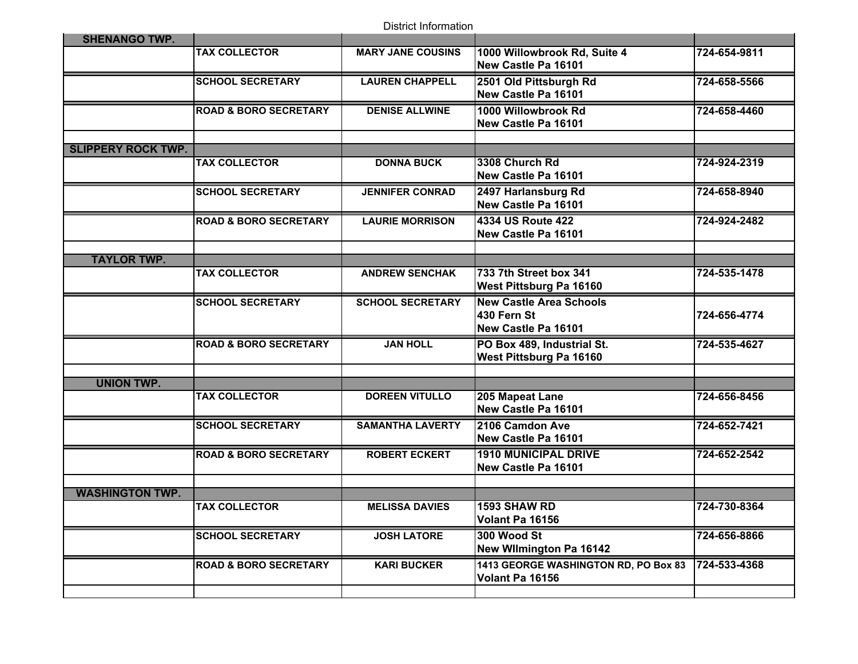| <b>SHENANGO TWP.</b>      |                                  |                          |                                                               |              |
|---------------------------|----------------------------------|--------------------------|---------------------------------------------------------------|--------------|
|                           | <b>TAX COLLECTOR</b>             | <b>MARY JANE COUSINS</b> | 1000 Willowbrook Rd, Suite 4<br>New Castle Pa 16101           | 724-654-9811 |
|                           | <b>SCHOOL SECRETARY</b>          | <b>LAUREN CHAPPELL</b>   | 2501 Old Pittsburgh Rd<br>New Castle Pa 16101                 | 724-658-5566 |
|                           | <b>ROAD &amp; BORO SECRETARY</b> | <b>DENISE ALLWINE</b>    | 1000 Willowbrook Rd<br>New Castle Pa 16101                    | 724-658-4460 |
| <b>SLIPPERY ROCK TWP.</b> |                                  |                          |                                                               |              |
|                           | <b>TAX COLLECTOR</b>             | <b>DONNA BUCK</b>        | 3308 Church Rd<br>New Castle Pa 16101                         | 724-924-2319 |
|                           | <b>SCHOOL SECRETARY</b>          | <b>JENNIFER CONRAD</b>   | 2497 Harlansburg Rd<br>New Castle Pa 16101                    | 724-658-8940 |
|                           | <b>ROAD &amp; BORO SECRETARY</b> | <b>LAURIE MORRISON</b>   | 4334 US Route 422<br>New Castle Pa 16101                      | 724-924-2482 |
| <b>TAYLOR TWP.</b>        |                                  |                          |                                                               |              |
|                           | <b>TAX COLLECTOR</b>             | <b>ANDREW SENCHAK</b>    | 733 7th Street box 341<br>West Pittsburg Pa 16160             | 724-535-1478 |
|                           | <b>SCHOOL SECRETARY</b>          | <b>SCHOOL SECRETARY</b>  | New Castle Area Schools<br>430 Fern St<br>New Castle Pa 16101 | 724-656-4774 |
|                           | <b>ROAD &amp; BORO SECRETARY</b> | <b>JAN HOLL</b>          | PO Box 489, Industrial St.<br>West Pittsburg Pa 16160         | 724-535-4627 |
| <b>UNION TWP.</b>         |                                  |                          |                                                               |              |
|                           | <b>TAX COLLECTOR</b>             | <b>DOREEN VITULLO</b>    | 205 Mapeat Lane<br>New Castle Pa 16101                        | 724-656-8456 |
|                           | <b>SCHOOL SECRETARY</b>          | <b>SAMANTHA LAVERTY</b>  | 2106 Camdon Ave<br>New Castle Pa 16101                        | 724-652-7421 |
|                           | <b>ROAD &amp; BORO SECRETARY</b> | <b>ROBERT ECKERT</b>     | <b>1910 MUNICIPAL DRIVE</b><br>New Castle Pa 16101            | 724-652-2542 |
| <b>WASHINGTON TWP.</b>    |                                  |                          |                                                               |              |
|                           | <b>TAX COLLECTOR</b>             | <b>MELISSA DAVIES</b>    | 1593 SHAW RD<br>Volant Pa 16156                               | 724-730-8364 |
|                           | <b>SCHOOL SECRETARY</b>          | <b>JOSH LATORE</b>       | 300 Wood St<br>New Wilmington Pa 16142                        | 724-656-8866 |
|                           | <b>ROAD &amp; BORO SECRETARY</b> | <b>KARI BUCKER</b>       | 1413 GEORGE WASHINGTON RD, PO Box 83<br>Volant Pa 16156       | 724-533-4368 |
|                           |                                  |                          |                                                               |              |